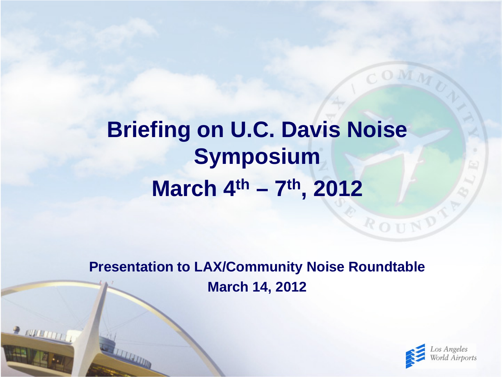#### **Briefing on U.C. Davis Noise Symposium March 4th – 7th, 2012**

**Presentation to LAX/Community Noise Roundtable March 14, 2012**

**PERMITT** 



ROUN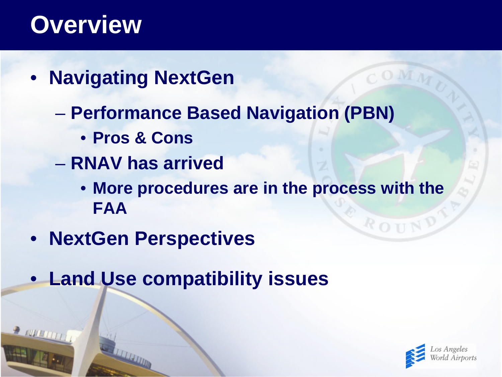#### **Overview**

- **Navigating NextGen**
	- **Performance Based Navigation (PBN)** 
		- **Pros & Cons**
	- **RNAV has arrived**
		- **More procedures are in the process with the FAA**
- **NextGen Perspectives**
- **Land Use compatibility issues**



ROUN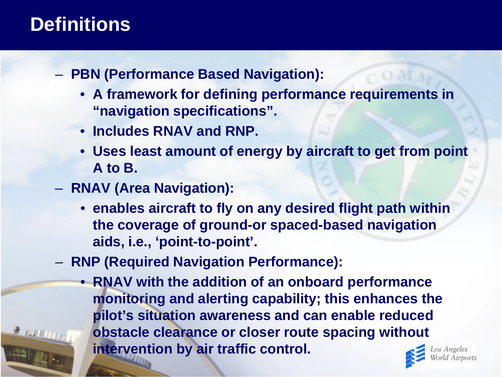#### **Definitions**

- **PBN (Performance Based Navigation):** 
	- **A framework for defining performance requirements in "navigation specifications".**
	- **Includes RNAV and RNP.**
	- **Uses least amount of energy by aircraft to get from point A to B.**
- **RNAV (Area Navigation):**
	- **enables aircraft to fly on any desired flight path within the coverage of ground-or spaced-based navigation aids, i.e., 'point-to-point'.**
- **RNP (Required Navigation Performance):** 
	- **RNAV with the addition of an onboard performance monitoring and alerting capability; this enhances the pilot's situation awareness and can enable reduced obstacle clearance or closer route spacing without intervention by air traffic control.**

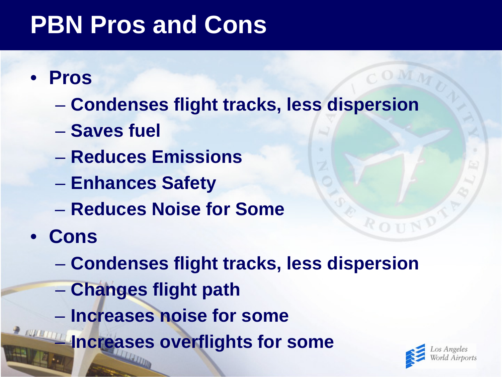## **PBN Pros and Cons**

- **Pros**
	- **Condenses flight tracks, less dispersion**
	- **Saves fuel**
	- **Reduces Emissions**
	- **Enhances Safety**
	- **Reduces Noise for Some**
- **Cons**
	- **Condenses flight tracks, less dispersion**
	- **Changes flight path**
	- **Increases noise for some**
- **FOR ALLETTE INCREASES overflights for some**

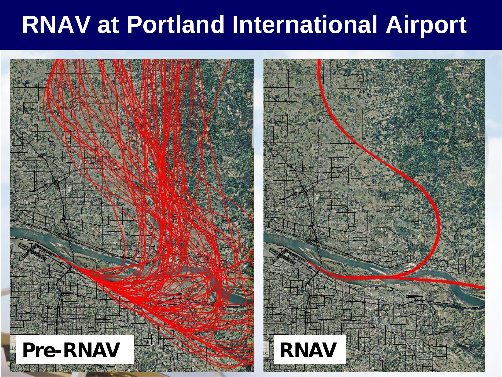#### **RNAV at Portland International Airport**

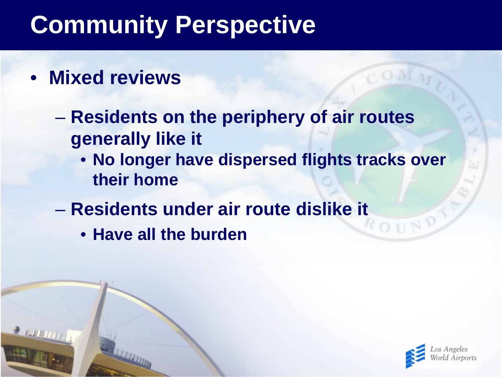# **Community Perspective**

- **Mixed reviews**
	- **Residents on the periphery of air routes generally like it** 
		- **No longer have dispersed flights tracks over their home**
	- **Residents under air route dislike it**
		- **Have all the burden**

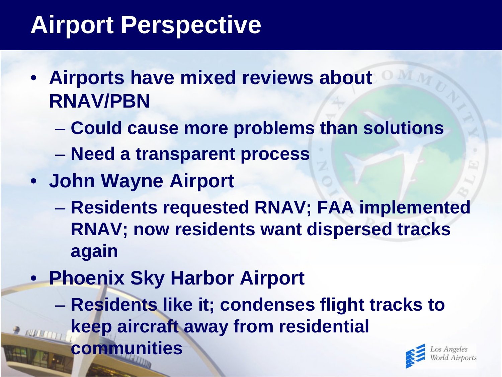# **Airport Perspective**

- **Airports have mixed reviews about RNAV/PBN**
	- **Could cause more problems than solutions**
	- **Need a transparent process**
- **John Wayne Airport**
	- **Residents requested RNAV; FAA implemented RNAV; now residents want dispersed tracks again**
- **Phoenix Sky Harbor Airport**
	- **Residents like it; condenses flight tracks to keep aircraft away from residential communities**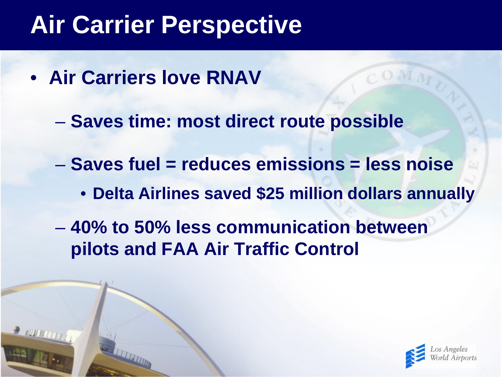## **Air Carrier Perspective**

- **Air Carriers love RNAV**
	- **Saves time: most direct route possible**
	- **Saves fuel = reduces emissions = less noise**
		- **Delta Airlines saved \$25 million dollars annually**
	- **40% to 50% less communication between pilots and FAA Air Traffic Control**

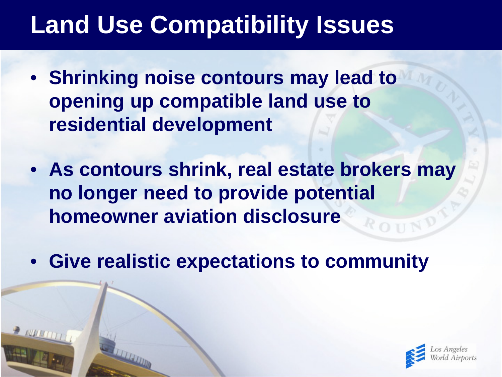# **Land Use Compatibility Issues**

- **Shrinking noise contours may lead to opening up compatible land use to residential development**
- **As contours shrink, real estate brokers may no longer need to provide potential homeowner aviation disclosure**
- **Give realistic expectations to community**